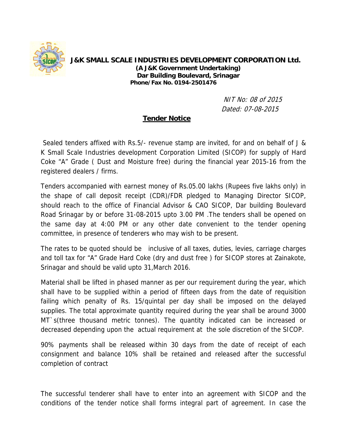

**J&K SMALL SCALE INDUSTRIES DEVELOPMENT CORPORATION Ltd. (A J&K Government Undertaking) Dar Building Boulevard, Srinagar Phone/Fax No. 0194-2501476** 

> NIT No: 08 of 2015 Dated: 07-08-2015

## **Tender Notice**

 Sealed tenders affixed with Rs.5/- revenue stamp are invited, for and on behalf of J & K Small Scale Industries development Corporation Limited (SICOP) for supply of Hard Coke "A" Grade ( Dust and Moisture free) during the financial year 2015-16 from the registered dealers / firms.

Tenders accompanied with earnest money of Rs.05.00 lakhs (Rupees five lakhs only) in the shape of call deposit receipt (CDR)/FDR pledged to Managing Director SICOP, should reach to the office of Financial Advisor & CAO SICOP, Dar building Boulevard Road Srinagar by or before 31-08-2015 upto 3.00 PM .The tenders shall be opened on the same day at 4:00 PM or any other date convenient to the tender opening committee, in presence of tenderers who may wish to be present.

The rates to be quoted should be inclusive of all taxes, duties, levies, carriage charges and toll tax for "A" Grade Hard Coke (dry and dust free ) for SICOP stores at Zainakote, Srinagar and should be valid upto 31,March 2016.

Material shall be lifted in phased manner as per our requirement during the year, which shall have to be supplied within a period of fifteen days from the date of requisition failing which penalty of Rs. 15/quintal per day shall be imposed on the delayed supplies. The total approximate quantity required during the year shall be around 3000 MT`s(three thousand metric tonnes). The quantity indicated can be increased or decreased depending upon the actual requirement at the sole discretion of the SICOP.

90% payments shall be released within 30 days from the date of receipt of each consignment and balance 10% shall be retained and released after the successful completion of contract

The successful tenderer shall have to enter into an agreement with SICOP and the conditions of the tender notice shall forms integral part of agreement. In case the